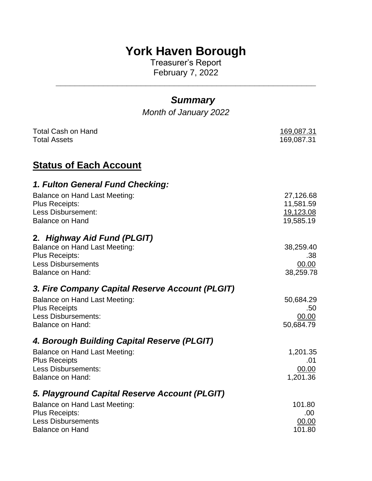# **York Haven Borough**

Treasurer's Report February 7, 2022

**\_\_\_\_\_\_\_\_\_\_\_\_\_\_\_\_\_\_\_\_\_\_\_\_\_\_\_\_\_\_\_\_\_\_\_\_\_\_\_\_\_\_\_\_\_\_\_\_\_\_\_\_\_\_\_**

# *Summary*

*Month of January 2022*

| <b>Total Cash on Hand</b>                       | 169,087.31 |
|-------------------------------------------------|------------|
| <b>Total Assets</b>                             | 169,087.31 |
| <b>Status of Each Account</b>                   |            |
| 1. Fulton General Fund Checking:                |            |
| Balance on Hand Last Meeting:                   | 27,126.68  |
| <b>Plus Receipts:</b>                           | 11,581.59  |
| Less Disbursement:                              | 19,123.08  |
| <b>Balance on Hand</b>                          | 19,585.19  |
| 2. Highway Aid Fund (PLGIT)                     |            |
| <b>Balance on Hand Last Meeting:</b>            | 38,259.40  |
| Plus Receipts:                                  | .38        |
| <b>Less Disbursements</b>                       | 00.00      |
| <b>Balance on Hand:</b>                         | 38,259.78  |
| 3. Fire Company Capital Reserve Account (PLGIT) |            |
| Balance on Hand Last Meeting:                   | 50,684.29  |
| <b>Plus Receipts</b>                            | .50        |
| <b>Less Disbursements:</b>                      | 00.00      |
| <b>Balance on Hand:</b>                         | 50,684.79  |
| 4. Borough Building Capital Reserve (PLGIT)     |            |
| <b>Balance on Hand Last Meeting:</b>            | 1,201.35   |
| <b>Plus Receipts</b>                            | .01        |
| <b>Less Disbursements:</b>                      | 00.00      |
| Balance on Hand:                                | 1,201.36   |
| 5. Playground Capital Reserve Account (PLGIT)   |            |
| <b>Balance on Hand Last Meeting:</b>            | 101.80     |
| <b>Plus Receipts:</b>                           | .00.       |
| <b>Less Disbursements</b>                       | 00.00      |
| <b>Balance on Hand</b>                          | 101.80     |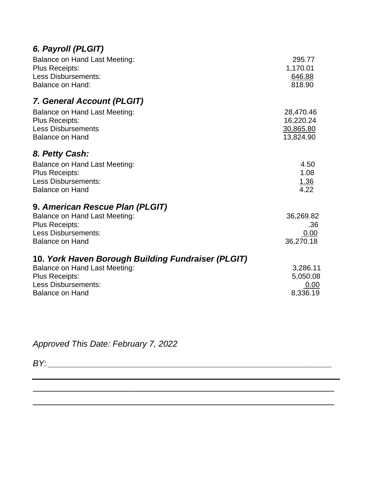| 6. Payroll (PLGIT) |  |
|--------------------|--|
|                    |  |

| <b>Balance on Hand Last Meeting:</b><br><b>Plus Receipts:</b><br><b>Less Disbursements:</b><br>Balance on Hand:                                                             | 295.77<br>1,170.01<br>646.88<br>818.90           |
|-----------------------------------------------------------------------------------------------------------------------------------------------------------------------------|--------------------------------------------------|
| 7. General Account (PLGIT)                                                                                                                                                  |                                                  |
| Balance on Hand Last Meeting:<br><b>Plus Receipts:</b><br><b>Less Disbursements</b><br><b>Balance on Hand</b>                                                               | 28,470.46<br>16,220.24<br>30,865.80<br>13,824.90 |
| 8. Petty Cash:                                                                                                                                                              |                                                  |
| Balance on Hand Last Meeting:<br><b>Plus Receipts:</b><br><b>Less Disbursements:</b><br><b>Balance on Hand</b>                                                              | 4.50<br>1.08<br><u>1.36</u><br>4.22              |
| 9. American Rescue Plan (PLGIT)<br><b>Balance on Hand Last Meeting:</b><br><b>Plus Receipts:</b><br><b>Less Disbursements:</b><br><b>Balance on Hand</b>                    | 36,269.82<br>.36<br>0.00<br>36,270.18            |
| 10. York Haven Borough Building Fundraiser (PLGIT)<br><b>Balance on Hand Last Meeting:</b><br><b>Plus Receipts:</b><br><b>Less Disbursements:</b><br><b>Balance on Hand</b> | 3,286.11<br>5,050.08<br>0.00<br>8,336.19         |

\_\_\_\_\_\_\_\_\_\_\_\_\_\_\_\_\_\_\_\_\_\_\_\_\_\_\_\_\_\_\_\_\_\_\_\_\_\_\_\_\_\_\_\_\_\_\_\_\_\_\_\_\_\_\_\_\_\_\_\_\_\_

\_\_\_\_\_\_\_\_\_\_\_\_\_\_\_\_\_\_\_\_\_\_\_\_\_\_\_\_\_\_\_\_\_\_\_\_\_\_\_\_\_\_\_\_\_\_\_\_\_\_\_\_\_\_\_\_\_\_\_\_\_\_

*Approved This Date: February 7, 2022*

*BY: \_\_\_\_\_\_\_\_\_\_\_\_\_\_\_\_\_\_\_\_\_\_\_\_\_\_\_\_\_\_\_\_\_\_\_\_\_\_\_\_\_\_\_\_\_\_\_\_\_\_\_\_\_\_\_\_\_\_\_\_*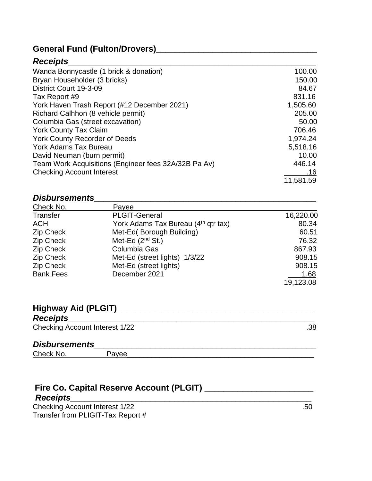# **General Fund (Fulton/Drovers)\_\_\_\_\_\_\_\_\_\_\_\_\_\_\_\_\_\_\_\_\_\_\_\_\_\_\_\_\_\_\_\_\_\_**

### *Receipts*\_\_\_\_\_\_\_\_\_\_\_\_\_\_\_\_\_\_\_\_\_\_\_\_\_\_\_\_\_\_\_\_\_\_\_\_\_\_\_\_\_\_\_\_\_\_\_\_\_\_\_

| Wanda Bonnycastle (1 brick & donation)               | 100.00    |
|------------------------------------------------------|-----------|
| Bryan Householder (3 bricks)                         | 150.00    |
| District Court 19-3-09                               | 84.67     |
| Tax Report #9                                        | 831.16    |
| York Haven Trash Report (#12 December 2021)          | 1,505.60  |
| Richard Calhhon (8 vehicle permit)                   | 205.00    |
| Columbia Gas (street excavation)                     | 50.00     |
| <b>York County Tax Claim</b>                         | 706.46    |
| York County Recorder of Deeds                        | 1,974.24  |
| <b>York Adams Tax Bureau</b>                         | 5,518.16  |
| David Neuman (burn permit)                           | 10.00     |
| Team Work Acquisitions (Engineer fees 32A/32B Pa Av) | 446.14    |
| <b>Checking Account Interest</b>                     | .16       |
|                                                      | 11,581.59 |

### *Disbursements\_\_\_\_\_\_\_\_\_\_\_\_\_\_\_\_\_\_\_\_\_\_\_\_\_\_\_\_\_\_\_\_\_\_\_\_\_\_\_\_\_\_\_\_\_\_\_*

| Check No.        | Payee                                           |           |
|------------------|-------------------------------------------------|-----------|
| Transfer         | <b>PLGIT-General</b>                            | 16,220.00 |
| <b>ACH</b>       | York Adams Tax Bureau (4 <sup>th</sup> qtr tax) | 80.34     |
| <b>Zip Check</b> | Met-Ed(Borough Building)                        | 60.51     |
| Zip Check        | Met-Ed $(2^{nd}$ St.)                           | 76.32     |
| <b>Zip Check</b> | Columbia Gas                                    | 867.93    |
| Zip Check        | Met-Ed (street lights) 1/3/22                   | 908.15    |
| <b>Zip Check</b> | Met-Ed (street lights)                          | 908.15    |
| <b>Bank Fees</b> | December 2021                                   | 1.68      |
|                  |                                                 | 19,123.08 |

# **Highway Aid (PLGIT)\_\_\_\_\_\_\_\_\_\_\_\_\_\_\_\_\_\_\_\_\_\_\_\_\_\_\_\_\_\_\_\_\_\_\_\_\_\_\_\_\_\_**

| <b>Receipts</b>                       |     |
|---------------------------------------|-----|
| <b>Checking Account Interest 1/22</b> | .38 |

# *Disbursements\_\_\_\_\_\_\_\_\_\_\_\_\_\_\_\_\_\_\_\_\_\_\_\_\_\_\_\_\_\_\_\_\_\_\_\_\_\_\_\_\_\_\_\_\_\_\_*

Check No. Payee\_\_\_\_\_\_\_\_\_\_\_\_\_\_\_\_\_\_\_\_\_\_\_\_\_\_\_\_\_\_\_\_\_\_\_\_\_\_\_\_\_\_\_\_\_\_

### **Fire Co. Capital Reserve Account (PLGIT) \_\_\_\_\_\_\_\_\_\_\_\_\_\_\_\_\_\_\_\_\_\_\_**  *Receipts\_\_\_\_\_\_\_\_\_\_\_\_\_\_\_\_\_\_\_\_\_\_\_\_\_\_\_\_\_\_\_\_\_\_\_\_\_\_\_\_\_\_\_\_\_\_\_\_\_\_\_*

Checking Account Interest 1/22 .50 Transfer from PLIGIT-Tax Report #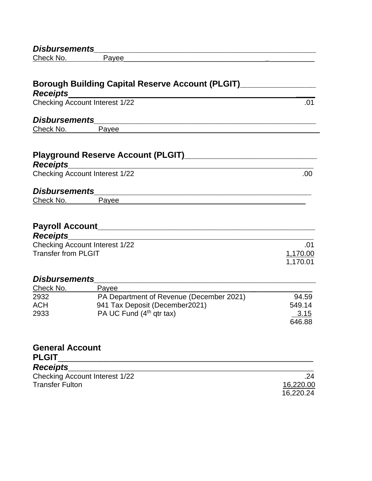| <b>Disbursements</b>                                 |                                                                                                                                                                                                                                |          |
|------------------------------------------------------|--------------------------------------------------------------------------------------------------------------------------------------------------------------------------------------------------------------------------------|----------|
| Check No. <b>Check</b>                               | Payee                                                                                                                                                                                                                          |          |
| <b>Receipts</b>                                      | Borough Building Capital Reserve Account (PLGIT)________________                                                                                                                                                               |          |
|                                                      | Checking Account Interest 1/22                                                                                                                                                                                                 | .01      |
| <b>Disbursements</b>                                 | <u> 1989 - Andrea Andrews, amerikansk politik (d. 1989)</u>                                                                                                                                                                    |          |
| Check No.                                            | Payee                                                                                                                                                                                                                          |          |
|                                                      |                                                                                                                                                                                                                                |          |
|                                                      |                                                                                                                                                                                                                                |          |
| <b>Receipts</b>                                      |                                                                                                                                                                                                                                |          |
|                                                      | Checking Account Interest 1/22                                                                                                                                                                                                 | .00.     |
|                                                      |                                                                                                                                                                                                                                |          |
|                                                      |                                                                                                                                                                                                                                |          |
|                                                      | Payee experience and the contract of the contract of the contract of the contract of the contract of the contract of the contract of the contract of the contract of the contract of the contract of the contract of the contr |          |
|                                                      |                                                                                                                                                                                                                                |          |
|                                                      |                                                                                                                                                                                                                                |          |
| <b>Disbursements</b><br>Check No.<br><b>Receipts</b> |                                                                                                                                                                                                                                |          |
|                                                      | <b>Checking Account Interest 1/22</b>                                                                                                                                                                                          | .01      |
|                                                      |                                                                                                                                                                                                                                | 1,170.00 |
| <b>Transfer from PLGIT</b>                           |                                                                                                                                                                                                                                | 1,170.01 |
| <b>Disbursements</b>                                 | <u> 1989 - Johann Stein, mars an deutscher Stein und der Stein und der Stein und der Stein und der Stein und der</u>                                                                                                           |          |
| Check No. <b>Check</b>                               | Payee                                                                                                                                                                                                                          |          |
| 2932                                                 | PA Department of Revenue (December 2021)                                                                                                                                                                                       | 94.59    |
| ACH                                                  | 941 Tax Deposit (December2021)                                                                                                                                                                                                 | 549.14   |
| 2933                                                 | PA UC Fund (4 <sup>th</sup> qtr tax)                                                                                                                                                                                           | 3.15     |

| <b>General Account</b>         |           |
|--------------------------------|-----------|
| <b>PLGIT</b>                   |           |
| <b>Receipts</b>                |           |
| Checking Account Interest 1/22 | .24       |
| <b>Transfer Fulton</b>         | 16,220.00 |
|                                | 16,220.24 |